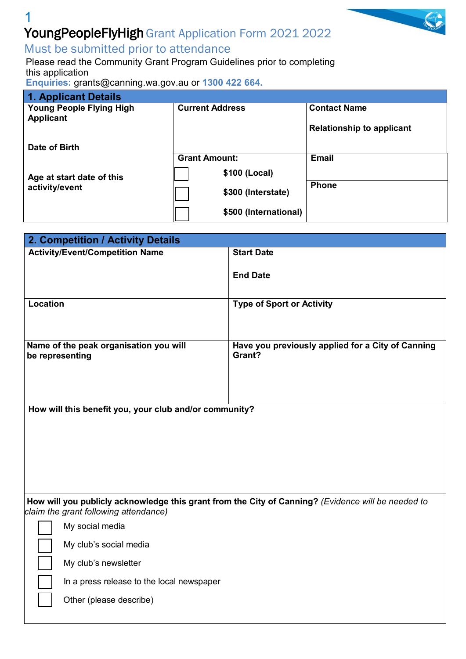## 1 Young People Fly High Grant Application Form 2021 2022

### Must be submitted prior to attendance

Please read the Community [Grant Program](https://www.canning.wa.gov.au/our-community/community-initiatives/community-grants?viewmode=0) Guidelines prior to completing this application

**Enquiries:** [grants@canning.wa.gov.au](mailto:grants@canning.wa.gov.au) or **1300 422 664.**

| 1. Applicant Details                        |                        |                                  |
|---------------------------------------------|------------------------|----------------------------------|
| <b>Young People Flying High</b>             | <b>Current Address</b> | <b>Contact Name</b>              |
| <b>Applicant</b>                            |                        |                                  |
|                                             |                        | <b>Relationship to applicant</b> |
|                                             |                        |                                  |
| Date of Birth                               |                        |                                  |
|                                             | <b>Grant Amount:</b>   | <b>Email</b>                     |
| Age at start date of this<br>activity/event | \$100 (Local)          |                                  |
|                                             |                        | <b>Phone</b>                     |
|                                             | \$300 (Interstate)     |                                  |
|                                             |                        |                                  |
|                                             | \$500 (International)  |                                  |

| 2. Competition / Activity Details                                                                                                           |                                                             |  |  |
|---------------------------------------------------------------------------------------------------------------------------------------------|-------------------------------------------------------------|--|--|
| <b>Activity/Event/Competition Name</b>                                                                                                      | <b>Start Date</b>                                           |  |  |
|                                                                                                                                             | <b>End Date</b>                                             |  |  |
| <b>Location</b>                                                                                                                             | <b>Type of Sport or Activity</b>                            |  |  |
| Name of the peak organisation you will<br>be representing                                                                                   | Have you previously applied for a City of Canning<br>Grant? |  |  |
| How will this benefit you, your club and/or community?                                                                                      |                                                             |  |  |
| How will you publicly acknowledge this grant from the City of Canning? (Evidence will be needed to<br>claim the grant following attendance) |                                                             |  |  |
| My social media                                                                                                                             |                                                             |  |  |
| My club's social media                                                                                                                      |                                                             |  |  |
| My club's newsletter                                                                                                                        |                                                             |  |  |
| In a press release to the local newspaper                                                                                                   |                                                             |  |  |
| Other (please describe)                                                                                                                     |                                                             |  |  |